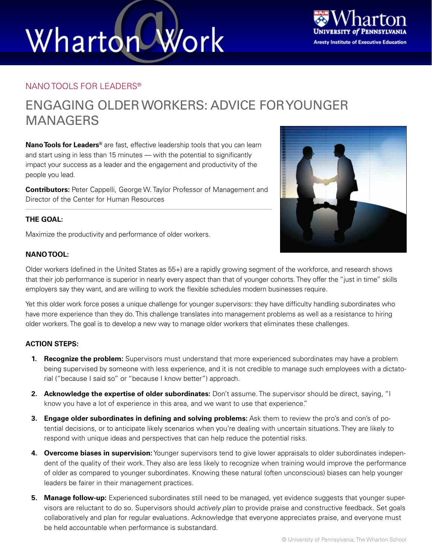# Work Wharton



### NANO TOOLS FOR LEADERS®

### ENGAGING OLDER WORKERS: ADVICE FOR YOUNGER MANAGERS

**Nano Tools for Leaders®** are fast, effective leadership tools that you can learn and start using in less than 15 minutes — with the potential to significantly impact your success as a leader and the engagement and productivity of the people you lead.

**Contributors:** Peter Cappelli, George W. Taylor Professor of Management and Director of the Center for Human Resources



Maximize the productivity and performance of older workers.



Older workers (defined in the United States as 55+) are a rapidly growing segment of the workforce, and research shows that their job performance is superior in nearly every aspect than that of younger cohorts. They offer the "just in time" skills employers say they want, and are willing to work the flexible schedules modern businesses require.

Yet this older work force poses a unique challenge for younger supervisors: they have difficulty handling subordinates who have more experience than they do. This challenge translates into management problems as well as a resistance to hiring older workers. The goal is to develop a new way to manage older workers that eliminates these challenges.

### **ACTION STEPS:**

- **1. Recognize the problem:** Supervisors must understand that more experienced subordinates may have a problem being supervised by someone with less experience, and it is not credible to manage such employees with a dictatorial ("because I said so" or "because I know better") approach.
- **2. Acknowledge the expertise of older subordinates:** Don't assume. The supervisor should be direct, saying, "I know you have a lot of experience in this area, and we want to use that experience."
- **3. Engage older subordinates in defining and solving problems:** Ask them to review the pro's and con's of potential decisions, or to anticipate likely scenarios when you're dealing with uncertain situations. They are likely to respond with unique ideas and perspectives that can help reduce the potential risks.
- **4. Overcome biases in supervision:** Younger supervisors tend to give lower appraisals to older subordinates independent of the quality of their work. They also are less likely to recognize when training would improve the performance of older as compared to younger subordinates. Knowing these natural (often unconscious) biases can help younger leaders be fairer in their management practices.
- **5. Manage follow-up:** Experienced subordinates still need to be managed, yet evidence suggests that younger supervisors are reluctant to do so. Supervisors should *actively plan* to provide praise and constructive feedback. Set goals collaboratively and plan for regular evaluations. Acknowledge that everyone appreciates praise, and everyone must be held accountable when performance is substandard.